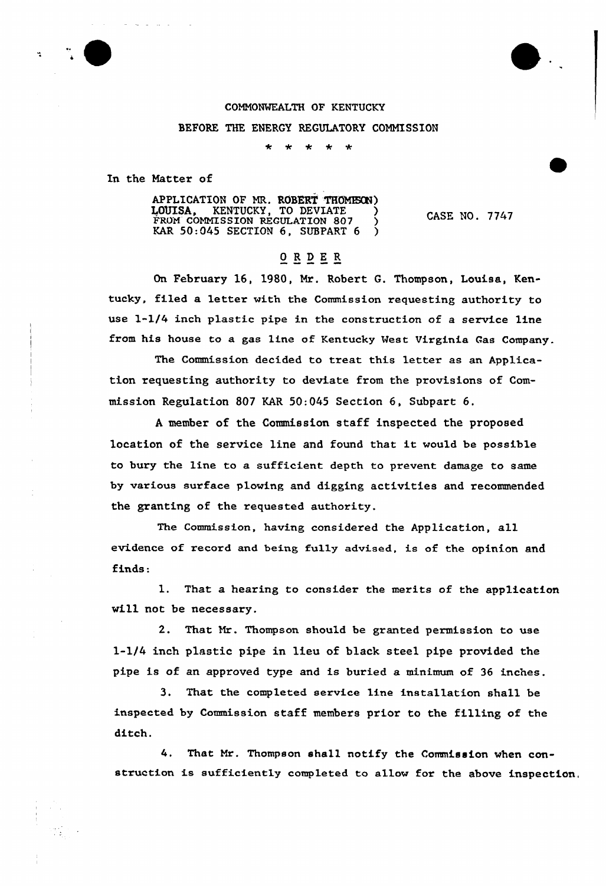

## COMN0%KALTH OF KENTUCKY BEFORE THE ENERGY REGULATORY COMMISSION

In the Natter of

APPLICATION OF MR. ROBERT THOMESON) LOUISA, KENTUCKY, TO DEVIATE ) FROM COMMISSION REGULATION 807 ) KAR  $50:045$  SECTION 6, SUBPART 6  $\bigcirc$ 

CASE NO. 7747

## $**OR** **DE** **R**$ </u>

On February 16, 1980, Mr. Robert G. Thompson, Louisa, Kentucky, filed a letter with the Commission requesting authority to use l-l/4 inch plastic pipe in the construction of a service line from his house to a gas line of Kentucky Nest Virginia Gas Company.

The Commission decided to treat this letter as an Application requesting authority to deviate from the provisions of'ommission Regulation 807 KAR 50:045 Section 6, Subpart 6.

<sup>A</sup> member of the Commission staff inspected the proposed location of the service line and found that it would be possible to bury the line to a sufficient depth to prevent damage to same by various surface plowing and digging activities and recommended the granting of the requested authority.

The Commission, having considered the Application, all evidence of record and being fully advised, is of the opinion and finds:

1. That a hearing to consider the merits of the application will not be necessary.

2. That Nr. Thompson should be granted permission to use l-l/4 inch plastic pipe in lieu of black stee1 pipe provided the pipe is of an approved type and is buried a minimum of 36 inches.

3. That the completed service line installation shall be inspected by Commission staff members prior to the filling of the ditch.

4. That Nr. Thompson shall notify the Commission when construction is sufficiently completed to allow for the above inspection,